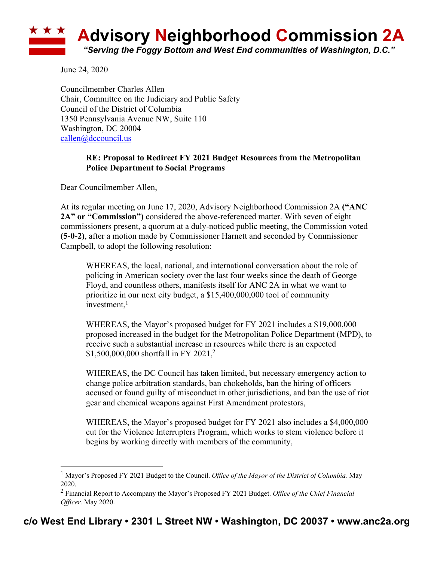

June 24, 2020

Councilmember Charles Allen Chair, Committee on the Judiciary and Public Safety Council of the District of Columbia 1350 Pennsylvania Avenue NW, Suite 110 Washington, DC 20004 callen@dccouncil.us

## **RE: Proposal to Redirect FY 2021 Budget Resources from the Metropolitan Police Department to Social Programs**

Dear Councilmember Allen,

At its regular meeting on June 17, 2020, Advisory Neighborhood Commission 2A **("ANC 2A" or "Commission")** considered the above-referenced matter. With seven of eight commissioners present, a quorum at a duly-noticed public meeting, the Commission voted **(5-0-2)**, after a motion made by Commissioner Harnett and seconded by Commissioner Campbell, to adopt the following resolution:

WHEREAS, the local, national, and international conversation about the role of policing in American society over the last four weeks since the death of George Floyd, and countless others, manifests itself for ANC 2A in what we want to prioritize in our next city budget, a \$15,400,000,000 tool of community investment, 1

WHEREAS, the Mayor's proposed budget for FY 2021 includes a \$19,000,000 proposed increased in the budget for the Metropolitan Police Department (MPD), to receive such a substantial increase in resources while there is an expected \$1,500,000,000 shortfall in FY 2021,<sup>2</sup>

WHEREAS, the DC Council has taken limited, but necessary emergency action to change police arbitration standards, ban chokeholds, ban the hiring of officers accused or found guilty of misconduct in other jurisdictions, and ban the use of riot gear and chemical weapons against First Amendment protestors,

WHEREAS, the Mayor's proposed budget for FY 2021 also includes a \$4,000,000 cut for the Violence Interrupters Program, which works to stem violence before it begins by working directly with members of the community,

<sup>1</sup> Mayor's Proposed FY 2021 Budget to the Council. *Office of the Mayor of the District of Columbia.* May 2020.

<sup>2</sup> Financial Report to Accompany the Mayor's Proposed FY 2021 Budget. *Office of the Chief Financial Officer.* May 2020.